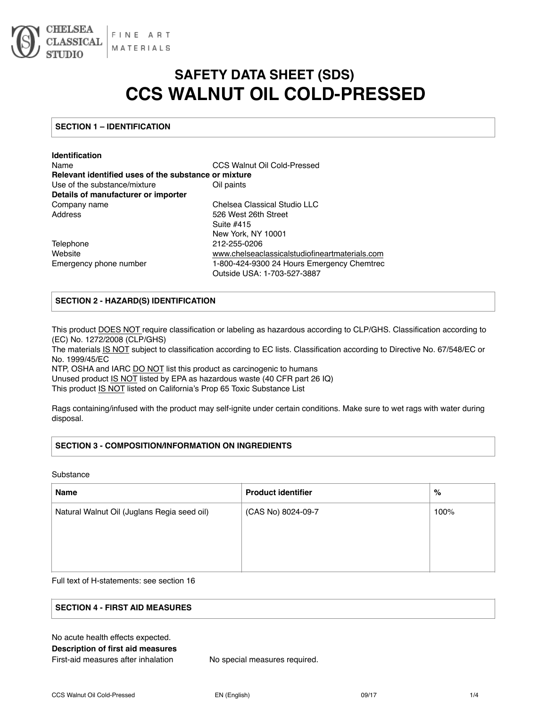

# **SAFETY DATA SHEET (SDS) CCS WALNUT OIL COLD-PRESSED**

# **SECTION 1 – IDENTIFICATION**

| <b>Identification</b>                                |                                                |
|------------------------------------------------------|------------------------------------------------|
| Name                                                 | CCS Walnut Oil Cold-Pressed                    |
| Relevant identified uses of the substance or mixture |                                                |
| Use of the substance/mixture                         | Oil paints                                     |
| Details of manufacturer or importer                  |                                                |
| Company name                                         | Chelsea Classical Studio LLC                   |
| Address                                              | 526 West 26th Street                           |
|                                                      | Suite #415                                     |
|                                                      | New York, NY 10001                             |
| Telephone                                            | 212-255-0206                                   |
| Website                                              | www.chelseaclassicalstudiofineartmaterials.com |
| Emergency phone number                               | 1-800-424-9300 24 Hours Emergency Chemtrec     |
|                                                      | Outside USA: 1-703-527-3887                    |

## **SECTION 2 - HAZARD(S) IDENTIFICATION**

This product DOES NOT require classification or labeling as hazardous according to CLP/GHS. Classification according to (EC) No. 1272/2008 (CLP/GHS)

The materials IS NOT subject to classification according to EC lists. Classification according to Directive No. 67/548/EC or No. 1999/45/EC

NTP, OSHA and IARC DO NOT list this product as carcinogenic to humans

Unused product IS NOT listed by EPA as hazardous waste (40 CFR part 26 IQ)

This product IS NOT listed on California's Prop 65 Toxic Substance List

Rags containing/infused with the product may self-ignite under certain conditions. Make sure to wet rags with water during disposal.

# **SECTION 3 - COMPOSITION/INFORMATION ON INGREDIENTS**

Substance

| <b>Name</b>                                 | <b>Product identifier</b> | %    |
|---------------------------------------------|---------------------------|------|
| Natural Walnut Oil (Juglans Regia seed oil) | (CAS No) 8024-09-7        | 100% |
|                                             |                           |      |
|                                             |                           |      |
|                                             |                           |      |

Full text of H-statements: see section 16

# **SECTION 4 - FIRST AID MEASURES**

| No acute health effects expected.   |
|-------------------------------------|
| Description of first aid measures   |
| First-aid measures after inhalation |

No special measures required.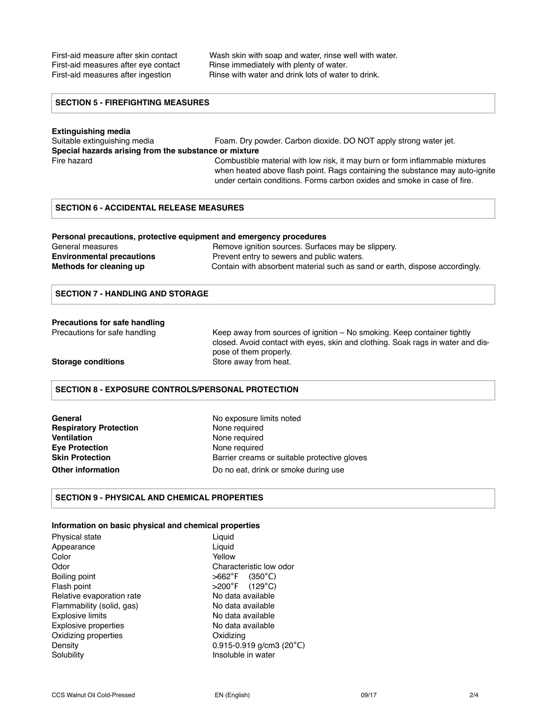First-aid measure after skin contact Wash skin with soap and water, rinse well with water. First-aid measures after eye contact Rinse immediately with plenty of water. First-aid measures after ingestion Rinse with water and drink lots of water to drink.

## **SECTION 5 - FIREFIGHTING MEASURES**

## **Extinguishing media**  Suitable extinguishing media Foam. Dry powder. Carbon dioxide. DO NOT apply strong water jet. **Special hazards arising from the substance or mixture**  Fire hazard **Example 20** Combustible material with low risk, it may burn or form inflammable mixtures when heated above flash point. Rags containing the substance may auto-ignite

### **SECTION 6 - ACCIDENTAL RELEASE MEASURES**

#### **Personal precautions, protective equipment and emergency procedures**

| General measures                 | Remove ignition sources. Surfaces may be slippery.                          |
|----------------------------------|-----------------------------------------------------------------------------|
| <b>Environmental precautions</b> | Prevent entry to sewers and public waters.                                  |
| Methods for cleaning up          | Contain with absorbent material such as sand or earth, dispose accordingly. |

#### **SECTION 7 - HANDLING AND STORAGE**

#### **Precautions for safe handling**

Precautions for safe handling Keep away from sources of ignition – No smoking. Keep container tightly closed. Avoid contact with eyes, skin and clothing. Soak rags in water and dispose of them properly. **Storage conditions Store away from heat.** 

under certain conditions. Forms carbon oxides and smoke in case of fire.

#### **SECTION 8 - EXPOSURE CONTROLS/PERSONAL PROTECTION**

| General                       |
|-------------------------------|
| <b>Respiratory Protection</b> |
| Ventilation                   |
| <b>Eve Protection</b>         |
| <b>Skin Protection</b>        |
| Other information             |

No exposure limits noted **None required None required None required** Barrier creams or suitable protective gloves Do no eat, drink or smoke during use

#### **SECTION 9 - PHYSICAL AND CHEMICAL PROPERTIES**

### **Information on basic physical and chemical properties**

| <b>Physical state</b>       | Liguid                                  |
|-----------------------------|-----------------------------------------|
| Appearance                  | Liguid                                  |
| Color                       | Yellow                                  |
| Odor                        | Characteristic low odor                 |
| Boiling point               | $>662^{\circ}F$ (350°C)                 |
| Flash point                 | $>200^{\circ}$ F (129 $^{\circ}$ C)     |
| Relative evaporation rate   | No data available                       |
| Flammability (solid, gas)   | No data available                       |
| <b>Explosive limits</b>     | No data available                       |
| <b>Explosive properties</b> | No data available                       |
| Oxidizing properties        | Oxidizing                               |
| Density                     | $0.915 - 0.919$ g/cm3 (20 $^{\circ}$ C) |
| Solubility                  | Insoluble in water                      |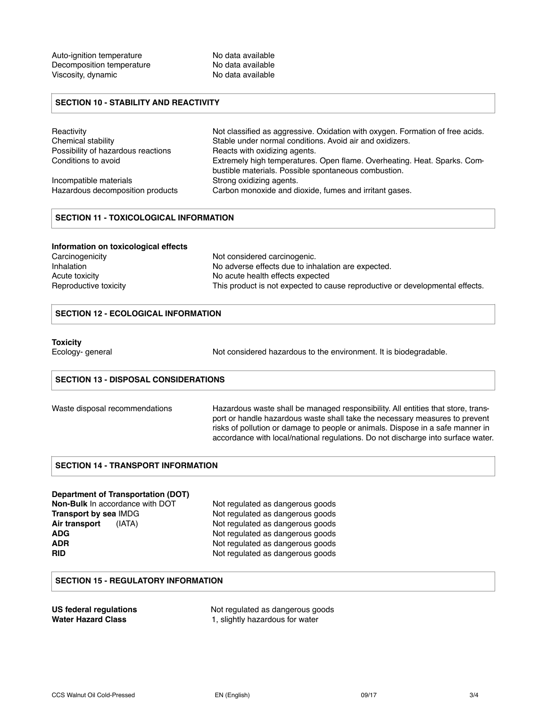## **SECTION 10 - STABILITY AND REACTIVITY**

| Reactivity                         | Not classified as aggressive. Oxidation with oxygen. Formation of free acids.                                                    |
|------------------------------------|----------------------------------------------------------------------------------------------------------------------------------|
| Chemical stability                 | Stable under normal conditions. Avoid air and oxidizers.                                                                         |
| Possibility of hazardous reactions | Reacts with oxidizing agents.                                                                                                    |
| Conditions to avoid                | Extremely high temperatures. Open flame. Overheating. Heat. Sparks. Com-<br>bustible materials. Possible spontaneous combustion. |
| Incompatible materials             | Strong oxidizing agents.                                                                                                         |
| Hazardous decomposition products   | Carbon monoxide and dioxide, fumes and irritant gases.                                                                           |

## **SECTION 11 - TOXICOLOGICAL INFORMATION**

| Information on toxicological effects |                                                                              |
|--------------------------------------|------------------------------------------------------------------------------|
| Carcinogenicity                      | Not considered carcinogenic.                                                 |
| <b>Inhalation</b>                    | No adverse effects due to inhalation are expected.                           |
| Acute toxicity                       | No acute health effects expected                                             |
| Reproductive toxicity                | This product is not expected to cause reproductive or developmental effects. |

## **SECTION 12 - ECOLOGICAL INFORMATION**

#### **Toxicity**

Ecology- general **Not considered hazardous to the environment**. It is biodegradable.

#### **SECTION 13 - DISPOSAL CONSIDERATIONS**

| Waste disposal recommendations |  |
|--------------------------------|--|
|                                |  |

Hazardous waste shall be managed responsibility. All entities that store, transport or handle hazardous waste shall take the necessary measures to prevent risks of pollution or damage to people or animals. Dispose in a safe manner in accordance with local/national regulations. Do not discharge into surface water.

#### **SECTION 14 - TRANSPORT INFORMATION**

#### **Department of Transportation (DOT)**

**Transport by sea IMDG** Not regulated as dangerous goods Air transport (IATA) Not regulated as dangerous goods **ADG** Not regulated as dangerous goods **ADR** Not regulated as dangerous goods<br> **RID** Not regulated as dangerous goods

**Non-Bulk** In accordance with DOT Not regulated as dangerous goods Not regulated as dangerous goods

## **SECTION 15 - REGULATORY INFORMATION**

| US federal regulations    |  |
|---------------------------|--|
| <b>Water Hazard Class</b> |  |

Not regulated as dangerous goods 1, slightly hazardous for water